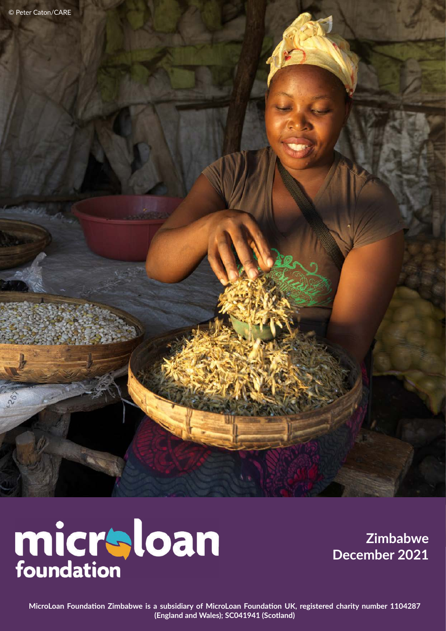# micraloan

**Zimbabwe December 2021**

**MicroLoan Foundation Zimbabwe is a subsidiary of MicroLoan Foundation UK, registered charity number 1104287 (England and Wales); SC041941 (Scotland)**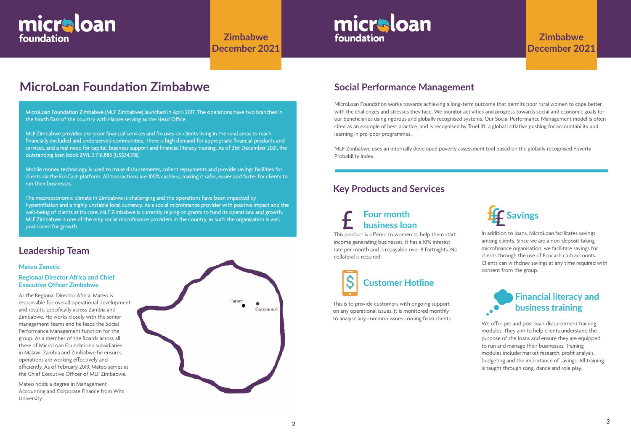## **MicroLoan Foundation Zimbabwe**

## **Leadership Team**

#### **Mateo Zanetic**

#### **Regional Director Africa and Chief Executive Officer Zimbabwe**

As the Regional Director Africa, Mateo is responsible for overall operational development and results, specifically across Zambia and Zimbabwe. He works closely with the senior management teams and he leads the Social Performance Management function for the group. As a member of the Boards across all three of MicroLoan Foundation's subsidiaries in Malawi, Zambia and Zimbabwe he ensures operations are working effectively and efficiently. As of February 2019, Mateo serves as the Chief Executive Officer of MLF Zimbabwe.

Mateo holds a degree in Management Accounting and Corporate Finance from Wits University.



MicroLoan Foundation works towards achieving a long-term outcome that permits poor rural women to cope better with the challenges and stresses they face. We monitor activities and progress towards social and economic goals for our beneficiaries using rigorous and globally recognised systems. Our Social Performance Management model is often cited as an example of best practice, and is recognised by TrueLift, a global initiative pushing for accountability and learning in pro-poor programmes.

MLF Zimbabwe uses an internally developed poverty assessment tool based on the globally recognised Poverty Probability Index.

## **Social Performance Management**

# micraloan foundation

**Zimbabwe December 2021**

# micraloan foundation

MicroLoan Foundation Zimbabwe (MLF Zimbabwe) launched in April 2017. The operations have two branches in the North East of the country with Harare serving as the Head Office.

> We offer pre and post loan disbursement training modules. They aim to help clients understand the purpose of the loans and ensure they are equipped to run and manage their businesses. Training modules include: market research, profit analysis, budgeting and the importance of savings. All training is taught through song, dance and role play.

MLF Zimbabwe provides pro-poor financial services and focuses on clients living in the rural areas to reach financially excluded and underserved communities. There is high demand for appropriate financial products and services, and a real need for capital, business support and financial literacy training. As of 31st December 2021, the outstanding loan book ZWL 3,716,883 (US\$34,178).

Mobile money technology is used to make disbursements, collect repayments and provide savings facilities for clients via the EcoCash platform. All transactions are 100% cashless, making it safer, easier and faster for clients to run their businesses.

The macroeconomic climate in Zimbabwe is challenging and the operations have been impacted by hyperinflation and a highly unstable local currency. As a social microfinance provider with positive impact and the well-being of clients at it's core, MLF Zimbabwe is currently relying on grants to fund its operations and growth. MLF Zimbabwe is one of the only social microfinance providers in the country, as such the organisation is well positioned for growth.

#### **Key Products and Services**



This is to provide customers with ongoing support on any operational issues. It is monitored monthly to analyse any common issues coming from clients.

## **Financial literacy and business training**

This product is offered to women to help them start income generating businesses. It has a 10% interest rate per month and is repayable over 8 fortnights. No collateral is required.

## **Four month business loan**



In addition to loans, MicroLoan facilitates savings among clients. Since we are a non-deposit taking microfinance organisation, we facilitate savings for clients through the use of Ecocash club accounts. Clients can withdraw savings at any time required with consent from the group.

## **Zimbabwe December 2021**